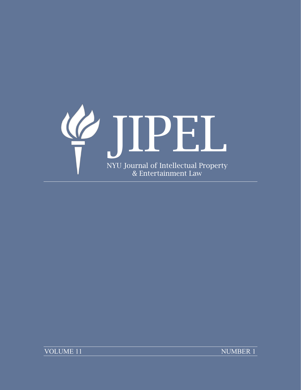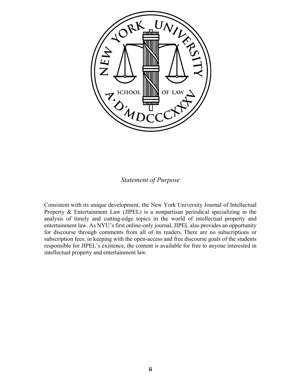

### *Statement of Purpose*

Consistent with its unique development, the New York University Journal of Intellectual Property & Entertainment Law (JIPEL) is a nonpartisan periodical specializing in the analysis of timely and cutting-edge topics in the world of intellectual property and entertainment law. As NYU's first online-only journal, JIPEL also provides an opportunity for discourse through comments from all of its readers. There are no subscriptions or subscription fees; in keeping with the open-access and free discourse goals of the students responsible for JIPEL's existence, the content is available for free to anyone interested in intellectual property and entertainment law.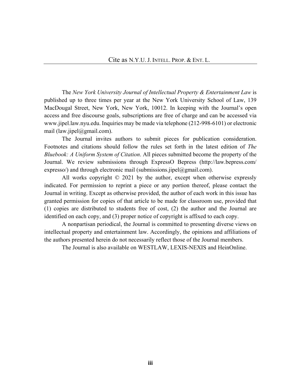The *New York University Journal of Intellectual Property & Entertainment Law* is published up to three times per year at the New York University School of Law, 139 MacDougal Street, New York, New York, 10012. In keeping with the Journal's open access and free discourse goals, subscriptions are free of charge and can be accessed via [www.jipel.law.nyu.edu.](http://www.jipel.law.nyu.edu/) Inquiries may be made via telephone (212-998-6101) or electronic mail [\(law.jipel@gmail.com\)](mailto:law.jipel@gmail.com).

The Journal invites authors to submit pieces for publication consideration. Footnotes and citations should follow the rules set forth in the latest edition of *The Bluebook: A Uniform System of Citation*. All pieces submitted become the property of the Journal. We review submissions through ExpressO Bepress (http://law.bepress.com/ [expresso/\)](http://law.bepress.com/expresso/) and through electronic mail [\(submissions.jipel@gmail.com\)](mailto:submissions.jipel@gmail.com).

All works copyright  $\odot$  2021 by the author, except when otherwise expressly indicated. For permission to reprint a piece or any portion thereof, please contact the Journal in writing. Except as otherwise provided, the author of each work in this issue has granted permission for copies of that article to be made for classroom use, provided that (1) copies are distributed to students free of cost, (2) the author and the Journal are identified on each copy, and (3) proper notice of copyright is affixed to each copy.

A nonpartisan periodical, the Journal is committed to presenting diverse views on intellectual property and entertainment law. Accordingly, the opinions and affiliations of the authors presented herein do not necessarily reflect those of the Journal members.

The Journal is also available on WESTLAW, LEXIS-NEXIS and HeinOnline.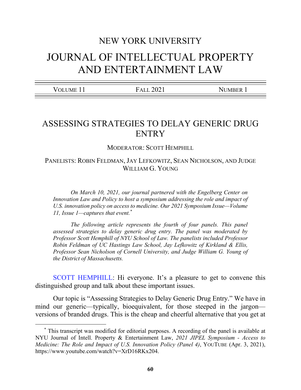# NEW YORK UNIVERSITY JOURNAL OF INTELLECTUAL PROPERTY AND ENTERTAINMENT LAW

| - -<br>$ -$ |  |
|-------------|--|
|             |  |

## ASSESSING STRATEGIES TO DELAY GENERIC DRUG **ENTRY**

MODERATOR: SCOTT HEMPHILL

PANELISTS: ROBIN FELDMAN, JAY LEFKOWITZ, SEAN NICHOLSON, AND JUDGE WILLIAM G. YOUNG

*On March 10, 2021, our journal partnered with the Engelberg Center on Innovation Law and Policy to host a symposium addressing the role and impact of U.S. innovation policy on access to medicine. Our 2021 Symposium Issue—Volume 11, Issue 1—captures that event.*[\\*](#page-3-0)

*The following article represents the fourth of four panels. This panel assessed strategies to delay generic drug entry. The panel was moderated by Professor Scott Hemphill of NYU School of Law. The panelists included Professor Robin Feldman of UC Hastings Law School, Jay Lefkowitz of Kirkland & Ellis, Professor Sean Nicholson of Cornell University, and Judge William G. Young of the District of Massachusetts.* 

[SCOTT HEMPHILL:](https://youtu.be/XrD16RKx204?t=75) Hi everyone. It's a pleasure to get to convene this distinguished group and talk about these important issues.

Our topic is "Assessing Strategies to Delay Generic Drug Entry." We have in mind our generic—typically, bioequivalent, for those steeped in the jargon versions of branded drugs. This is the cheap and cheerful alternative that you get at

<span id="page-3-0"></span> <sup>\*</sup> This transcript was modified for editorial purposes. A recording of the panel is available at NYU Journal of Intell. Property & Entertainment Law, *2021 JIPEL Symposium - Access to Medicine: The Role and Impact of U.S. Innovation Policy (Panel 4)*, YOUTUBE (Apr. 3, 2021), [https://www.youtube.com/watch?v=XrD16RKx204.](https://www.youtube.com/watch?v=XrD16RKx204)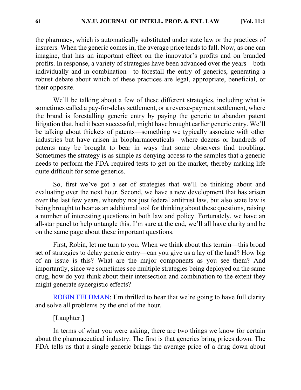the pharmacy, which is automatically substituted under state law or the practices of insurers. When the generic comes in, the average price tends to fall. Now, as one can imagine, that has an important effect on the innovator's profits and on branded profits. In response, a variety of strategies have been advanced over the years—both individually and in combination—to forestall the entry of generics, generating a robust debate about which of these practices are legal, appropriate, beneficial, or their opposite.

We'll be talking about a few of these different strategies, including what is sometimes called a pay-for-delay settlement, or a reverse-payment settlement, where the brand is forestalling generic entry by paying the generic to abandon patent litigation that, had it been successful, might have brought earlier generic entry. We'll be talking about thickets of patents—something we typically associate with other industries but have arisen in biopharmaceuticals—where dozens or hundreds of patents may be brought to bear in ways that some observers find troubling. Sometimes the strategy is as simple as denying access to the samples that a generic needs to perform the FDA-required tests to get on the market, thereby making life quite difficult for some generics.

So, first we've got a set of strategies that we'll be thinking about and evaluating over the next hour. Second, we have a new development that has arisen over the last few years, whereby not just federal antitrust law, but also state law is being brought to bear as an additional tool for thinking about these questions, raising a number of interesting questions in both law and policy. Fortunately, we have an all-star panel to help untangle this. I'm sure at the end, we'll all have clarity and be on the same page about these important questions.

First, Robin, let me turn to you. When we think about this terrain—this broad set of strategies to delay generic entry—can you give us a lay of the land? How big of an issue is this? What are the major components as you see them? And importantly, since we sometimes see multiple strategies being deployed on the same drug, how do you think about their intersection and combination to the extent they might generate synergistic effects?

[ROBIN FELDMAN:](https://youtu.be/XrD16RKx204?t=478) I'm thrilled to hear that we're going to have full clarity and solve all problems by the end of the hour.

#### [Laughter.]

In terms of what you were asking, there are two things we know for certain about the pharmaceutical industry. The first is that generics bring prices down. The FDA tells us that a single generic brings the average price of a drug down about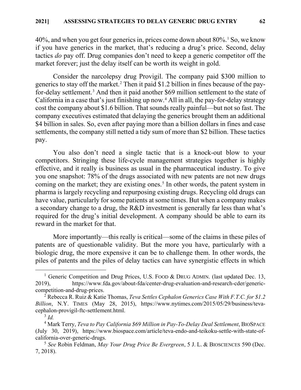$40\%$ , and when you get four generics in, prices come down about  $80\%$ <sup>[1](#page-5-0)</sup> So, we know if you have generics in the market, that's reducing a drug's price. Second, delay tactics *do* pay off. Drug companies don't need to keep a generic competitor off the market forever; just the delay itself can be worth its weight in gold.

Consider the narcolepsy drug Provigil. The company paid \$300 million to generics to stay off the market.<sup>[2](#page-5-1)</sup> Then it paid \$1.2 billion in fines because of the payfor-delay settlement.[3](#page-5-2) And then it paid another \$69 million settlement to the state of California in a case that's just finishing up now.[4](#page-5-3) All in all, the pay-for-delay strategy cost the company about \$1.6 billion. That sounds really painful—but not so fast. The company executives estimated that delaying the generics brought them an additional \$4 billion in sales. So, even after paying more than a billion dollars in fines and case settlements, the company still netted a tidy sum of more than \$2 billion. These tactics pay.

You also don't need a single tactic that is a knock-out blow to your competitors. Stringing these life-cycle management strategies together is highly effective, and it really is business as usual in the pharmaceutical industry. To give you one snapshot: 78% of the drugs associated with new patents are not new drugs coming on the market; they are existing ones.<sup>[5](#page-5-4)</sup> In other words, the patent system in pharma is largely recycling and repurposing existing drugs. Recycling old drugs can have value, particularly for some patients at some times. But when a company makes a secondary change to a drug, the R&D investment is generally far less than what's required for the drug's initial development. A company should be able to earn its reward in the market for that.

More importantly—this really is critical—some of the claims in these piles of patents are of questionable validity. But the more you have, particularly with a biologic drug, the more expensive it can be to challenge them. In other words, the piles of patents and the piles of delay tactics can have synergistic effects in which

<span id="page-5-0"></span><sup>&</sup>lt;sup>1</sup> Generic Competition and Drug Prices, U.S. FOOD & DRUG ADMIN. (last updated Dec. 13, 2019), [https://www.fda.gov/about-fda/center-drug-evaluation-and-research-cder/generic](https://www.fda.gov/about-fda/center-drug-evaluation-and-research-cder/generic-competition-and-drug-prices)[competition-and-drug-prices.](https://www.fda.gov/about-fda/center-drug-evaluation-and-research-cder/generic-competition-and-drug-prices) 2 Rebecca R. Ruiz & Katie Thomas, *Teva Settles Cephalon Generics Case With F.T.C. for \$1.2* 

<span id="page-5-1"></span>*Billion*, N.Y. TIMES (May 28, 2015), [https://www.nytimes.com/2015/05/29/business/teva](https://www.nytimes.com/2015/05/29/business/teva-cephalon-provigil-ftc-settlement.html)[cephalon-provigil-ftc-settlement.html.](https://www.nytimes.com/2015/05/29/business/teva-cephalon-provigil-ftc-settlement.html) 3 *Id.*

<span id="page-5-3"></span><span id="page-5-2"></span><sup>&</sup>lt;sup>4</sup> Mark Terry, *Teva to Pay California \$69 Million in Pay-To-Delay Deal Settlement*, BIOSPACE (July 30, 2019), [https://www.biospace.com/article/teva-endo-and-teikoku-settle-with-state-of](https://www.biospace.com/article/teva-endo-and-teikoku-settle-with-state-of-california-over-generic-drugs)[california-over-generic-drugs.](https://www.biospace.com/article/teva-endo-and-teikoku-settle-with-state-of-california-over-generic-drugs) 5 *See* Robin Feldman, *May Your Drug Price Be Evergreen*, 5 J. L. & BIOSCIENCES 590 (Dec.

<span id="page-5-4"></span><sup>7, 2018).</sup>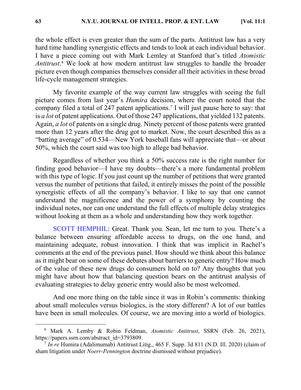the whole effect is even greater than the sum of the parts. Antitrust law has a very hard time handling synergistic effects and tends to look at each individual behavior. I have a piece coming out with Mark Lemley at Stanford that's titled *Atomistic Antitrust*. [6](#page-6-0) We look at how modern antitrust law struggles to handle the broader picture even though companies themselves consider all their activities in these broad life-cycle management strategies.

My favorite example of the way current law struggles with seeing the full picture comes from last year's *Humira* decision, where the court noted that the company filed a total of 247 patent applications.[7](#page-6-1) I will just pause here to say: that is *a lot* of patent applications. Out of those 247 applications, that yielded 132 patents. Again, *a lot* of patents on a single drug. Ninety percent of those patents were granted more than 12 years after the drug got to market. Now, the court described this as a "batting average" of 0.534—New York baseball fans will appreciate that—or about 50%, which the court said was too high to allege bad behavior.

Regardless of whether you think a 50% success rate is the right number for finding good behavior—I have my doubts—there's a more fundamental problem with this type of logic. If you just count up the number of petitions that were granted versus the number of petitions that failed, it entirely misses the point of the possible synergistic effects of all the company's behavior. I like to say that one cannot understand the magnificence and the power of a symphony by counting the individual notes, nor can one understand the full effects of multiple delay strategies without looking at them as a whole and understanding how they work together.

[SCOTT HEMPHIL:](https://youtu.be/XrD16RKx204?t=800) Great. Thank you. Sean, let me turn to you. There's a balance between ensuring affordable access to drugs, on the one hand, and maintaining adequate, robust innovation. I think that was implicit in Rachel's comments at the end of the previous panel. How should we think about this balance as it might bear on some of these debates about barriers to generic entry? How much of the value of these new drugs do consumers hold on to? Any thoughts that you might have about how that balancing question bears on the antitrust analysis of evaluating strategies to delay generic entry would also be most welcomed.

And one more thing on the table since it was in Robin's comments: thinking about small molecules versus biologics, is the story different? A lot of our battles have been in small molecules. Of course, we are moving into a world of biologics.

<span id="page-6-0"></span> <sup>6</sup> Mark A. Lemby & Robin Feldman, *Atomistic Antitrust*, SSRN (Feb. 26, 2021), [https://papers.ssrn.com/abstract\\_id=3793809.](https://papers.ssrn.com/abstract_id=3793809) 7 *In re* Humira (Adalimumab) Antitrust Litig., 465 F. Supp. 3d 811 (N.D. Ill. 2020) (claim of

<span id="page-6-1"></span>sham litigation under *Noerr-Pennington* doctrine dismissed without prejudice).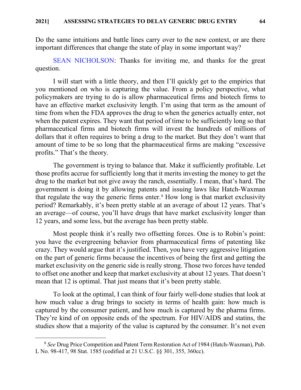Do the same intuitions and battle lines carry over to the new context, or are there important differences that change the state of play in some important way?

[SEAN NICHOLSON:](https://youtu.be/XrD16RKx204?t=889) Thanks for inviting me, and thanks for the great question.

I will start with a little theory, and then I'll quickly get to the empirics that you mentioned on who is capturing the value. From a policy perspective, what policymakers are trying to do is allow pharmaceutical firms and biotech firms to have an effective market exclusivity length. I'm using that term as the amount of time from when the FDA approves the drug to when the generics actually enter, not when the patent expires. They want that period of time to be sufficiently long so that pharmaceutical firms and biotech firms will invest the hundreds of millions of dollars that it often requires to bring a drug to the market. But they don't want that amount of time to be so long that the pharmaceutical firms are making "excessive profits." That's the theory.

The government is trying to balance that. Make it sufficiently profitable. Let those profits accrue for sufficiently long that it merits investing the money to get the drug to the market but not give away the ranch, essentially. I mean, that's hard. The government is doing it by allowing patents and issuing laws like Hatch-Waxman that regulate the way the generic firms enter. $8$  How long is that market exclusivity period? Remarkably, it's been pretty stable at an average of about 12 years. That's an average—of course, you'll have drugs that have market exclusivity longer than 12 years, and some less, but the average has been pretty stable.

Most people think it's really two offsetting forces. One is to Robin's point: you have the evergreening behavior from pharmaceutical firms of patenting like crazy. They would argue that it's justified. Then, you have very aggressive litigation on the part of generic firms because the incentives of being the first and getting the market exclusivity on the generic side is really strong. Those two forces have tended to offset one another and keep that market exclusivity at about 12 years. That doesn't mean that 12 is optimal. That just means that it's been pretty stable.

To look at the optimal, I can think of four fairly well-done studies that look at how much value a drug brings to society in terms of health gain: how much is captured by the consumer patient, and how much is captured by the pharma firms. They're kind of on opposite ends of the spectrum. For HIV/AIDS and statins, the studies show that a majority of the value is captured by the consumer. It's not even

<span id="page-7-0"></span> <sup>8</sup> *See* Drug Price Competition and Patent Term Restoration Act of 1984 (Hatch-Waxman), Pub. L No. 98-417, 98 Stat. 1585 (codified at 21 U.S.C. §§ 301, 355, 360cc).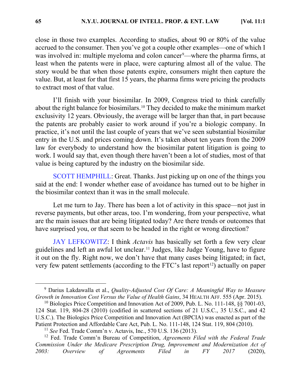close in those two examples. According to studies, about 90 or 80% of the value accrued to the consumer. Then you've got a couple other examples—one of which I was involved in: multiple myeloma and colon cancer<sup>[9](#page-8-0)</sup>—where the pharma firms, at least when the patents were in place, were capturing almost all of the value. The story would be that when those patents expire, consumers might then capture the value. But, at least for that first 15 years, the pharma firms were pricing the products

I'll finish with your biosimilar. In 2009, Congress tried to think carefully about the right balance for biosimilars.[10](#page-8-1) They decided to make the minimum market exclusivity 12 years. Obviously, the average will be larger than that, in part because the patents are probably easier to work around if you're a biologic company. In practice, it's not until the last couple of years that we've seen substantial biosimilar entry in the U.S. and prices coming down. It's taken about ten years from the 2009 law for everybody to understand how the biosimilar patent litigation is going to work. I would say that, even though there haven't been a lot of studies, most of that value is being captured by the industry on the biosimilar side.

[SCOTT HEMPHILL:](https://youtu.be/XrD16RKx204?t=1156) Great. Thanks. Just picking up on one of the things you said at the end: I wonder whether ease of avoidance has turned out to be higher in the biosimilar context than it was in the small molecule.

Let me turn to Jay. There has been a lot of activity in this space—not just in reverse payments, but other areas, too. I'm wondering, from your perspective, what are the main issues that are being litigated today? Are there trends or outcomes that have surprised you, or that seem to be headed in the right or wrong direction?

[JAY LEFKOWITZ:](https://youtu.be/XrD16RKx204?t=1214) I think *Actavis* has basically set forth a few very clear guidelines and left an awful lot unclear.[11](#page-8-2) Judges, like Judge Young, have to figure it out on the fly. Right now, we don't have that many cases being litigated; in fact, very few patent settlements (according to the FTC's last report<sup>12</sup>) actually on paper

to extract most of that value.

<span id="page-8-0"></span> <sup>9</sup> Darius Lakdawalla et al., *Quality-Adjusted Cost Of Care: A Meaningful Way to Measure Growth in Innovation Cost Versus the Value of Health Gains*, 34 HEALTH AFF. 555 (Apr. 2015).

<span id="page-8-1"></span><sup>&</sup>lt;sup>10</sup> Biologics Price Competition and Innovation Act of 2009, Pub. L. No. 111-148, §§ 7001-03, 124 Stat. 119, 804-28 (2010) (codified in scattered sections of 21 U.S.C., 35 U.S.C., and 42 U.S.C.). The Biologics Price Competition and Innovation Act (BPCIA) was enacted as part of the Patient Protection and Affordable Care Act, Pub. L. No. 111-148, 124 Stat. 119, 804 (2010).

<sup>11</sup> *See* Fed. Trade Comm'n v. Actavis, Inc., 570 U.S. 136 (2013).

<span id="page-8-3"></span><span id="page-8-2"></span><sup>12</sup> Fed. Trade Comm'n Bureau of Competition, *Agreements Filed with the Federal Trade Commission Under the Medicare Prescription Drug, Improvement and Modernization Act of 2003: Overview of Agreements Filed in FY 2017* (2020),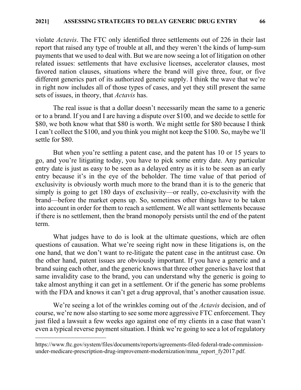violate *Actavis*. The FTC only identified three settlements out of 226 in their last report that raised any type of trouble at all, and they weren't the kinds of lump-sum payments that we used to deal with. But we are now seeing a lot of litigation on other related issues: settlements that have exclusive licenses, accelerator clauses, most favored nation clauses, situations where the brand will give three, four, or five different generics part of its authorized generic supply. I think the wave that we're in right now includes all of those types of cases, and yet they still present the same sets of issues, in theory, that *Actavis* has.

The real issue is that a dollar doesn't necessarily mean the same to a generic or to a brand. If you and I are having a dispute over \$100, and we decide to settle for \$80, we both know what that \$80 is worth. We might settle for \$80 because I think I can't collect the \$100, and you think you might not keep the \$100. So, maybe we'll settle for \$80.

But when you're settling a patent case, and the patent has 10 or 15 years to go, and you're litigating today, you have to pick some entry date. Any particular entry date is just as easy to be seen as a delayed entry as it is to be seen as an early entry because it's in the eye of the beholder. The time value of that period of exclusivity is obviously worth much more to the brand than it is to the generic that simply is going to get 180 days of exclusivity—or really, co-exclusivity with the brand—before the market opens up. So, sometimes other things have to be taken into account in order for them to reach a settlement. We all want settlements because if there is no settlement, then the brand monopoly persists until the end of the patent term.

What judges have to do is look at the ultimate questions, which are often questions of causation. What we're seeing right now in these litigations is, on the one hand, that we don't want to re-litigate the patent case in the antitrust case. On the other hand, patent issues are obviously important. If you have a generic and a brand suing each other, and the generic knows that three other generics have lost that same invalidity case to the brand, you can understand why the generic is going to take almost anything it can get in a settlement. Or if the generic has some problems with the FDA and knows it can't get a drug approval, that's another causation issue.

We're seeing a lot of the wrinkles coming out of the *Actavis* decision, and of course, we're now also starting to see some more aggressive FTC enforcement. They just filed a lawsuit a few weeks ago against one of my clients in a case that wasn't even a typical reverse payment situation. I think we're going to see a lot of regulatory

 $\overline{a}$ 

[https://www.ftc.gov/system/files/documents/reports/agreements-filed-federal-trade-commission](https://www.ftc.gov/system/files/documents/reports/agreements-filed-federal-trade-commission-under-medicare-prescription-drug-improvement-modernization/mma_report_fy2017.pdf)[under-medicare-prescription-drug-improvement-modernization/mma\\_report\\_fy2017.pdf.](https://www.ftc.gov/system/files/documents/reports/agreements-filed-federal-trade-commission-under-medicare-prescription-drug-improvement-modernization/mma_report_fy2017.pdf)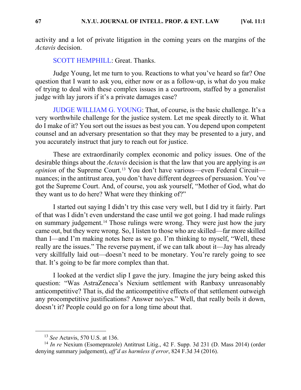activity and a lot of private litigation in the coming years on the margins of the *Actavis* decision.

[SCOTT HEMPHILL:](https://youtu.be/XrD16RKx204?t=1467) Great. Thanks.

Judge Young, let me turn to you. Reactions to what you've heard so far? One question that I want to ask you, either now or as a follow-up, is what do you make of trying to deal with these complex issues in a courtroom, staffed by a generalist judge with lay jurors if it's a private damages case?

[JUDGE WILLIAM G. YOUNG:](https://youtu.be/XrD16RKx204?t=1502) That, of course, is the basic challenge. It's a very worthwhile challenge for the justice system. Let me speak directly to it. What do I make of it? You sort out the issues as best you can. You depend upon competent counsel and an adversary presentation so that they may be presented to a jury, and you accurately instruct that jury to reach out for justice.

These are extraordinarily complex economic and policy issues. One of the desirable things about the *Actavis* decision is that the law that you are applying is *an opinion* of the Supreme Court.<sup>[13](#page-10-0)</sup> You don't have various—even Federal Circuit nuances; in the antitrust area, you don't have different degrees of persuasion. You've got the Supreme Court. And, of course, you ask yourself, "Mother of God, what do they want us to do here? What were they thinking of?"

I started out saying I didn't try this case very well, but I did try it fairly. Part of that was I didn't even understand the case until we got going. I had made rulings on summary judgement.[14](#page-10-1) Those rulings were wrong. They were just how the jury came out, but they were wrong. So, I listen to those who are skilled—far more skilled than I—and I'm making notes here as we go. I'm thinking to myself, "Well, these really are the issues." The reverse payment, if we can talk about it—Jay has already very skillfully laid out—doesn't need to be monetary. You're rarely going to see that. It's going to be far more complex than that.

I looked at the verdict slip I gave the jury. Imagine the jury being asked this question: "Was AstraZeneca's Nexium settlement with Ranbaxy unreasonably anticompetitive? That is, did the anticompetitive effects of that settlement outweigh any procompetitive justifications? Answer no/yes." Well, that really boils it down, doesn't it? People could go on for a long time about that.

 <sup>13</sup> *See* Actavis, 570 U.S. at 136.

<span id="page-10-1"></span><span id="page-10-0"></span><sup>&</sup>lt;sup>14</sup> *In re* Nexium (Esomeprazole) Antitrust Litig., 42 F. Supp. 3d 231 (D. Mass 2014) (order denying summary judgement), *aff'd as harmless if error*, 824 F.3d 34 (2016).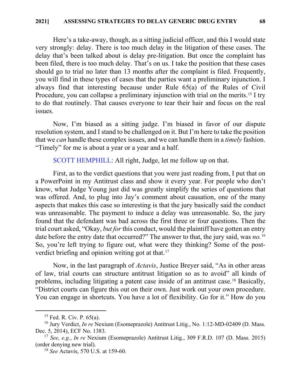Here's a take-away, though, as a sitting judicial officer, and this I would state very strongly: delay. There is too much delay in the litigation of these cases. The delay that's been talked about is delay pre-litigation. But once the complaint has been filed, there is too much delay. That's on us. I take the position that these cases should go to trial no later than 13 months after the complaint is filed. Frequently, you will find in these types of cases that the parties want a preliminary injunction. I always find that interesting because under Rule 65(a) of the Rules of Civil Procedure, you can collapse a preliminary injunction with trial on the merits.<sup>[15](#page-11-0)</sup> I try to do that routinely. That causes everyone to tear their hair and focus on the real issues.

Now, I'm biased as a sitting judge. I'm biased in favor of our dispute resolution system, and I stand to be challenged on it. But I'm here to take the position that we *can* handle these complex issues, and we can handle them in a *timely* fashion. "Timely" for me is about a year or a year and a half.

[SCOTT HEMPHILL:](https://youtu.be/XrD16RKx204?t=1801) All right, Judge, let me follow up on that.

First, as to the verdict questions that you were just reading from, I put that on a PowerPoint in my Antitrust class and show it every year. For people who don't know, what Judge Young just did was greatly simplify the series of questions that was offered. And, to plug into Jay's comment about causation, one of the many aspects that makes this case so interesting is that the jury basically said the conduct was unreasonable. The payment to induce a delay was unreasonable. So, the jury found that the defendant was bad across the first three or four questions. Then the trial court asked, "Okay, *but for* this conduct, would the plaintiff have gotten an entry date before the entry date that occurred?" The answer to that, the jury said, was *no.*[16](#page-11-1) So, you're left trying to figure out, what were they thinking? Some of the post-verdict briefing and opinion writing got at that.<sup>[17](#page-11-2)</sup>

Now, in the last paragraph of *Actavis*, Justice Breyer said, "As in other areas of law, trial courts can structure antitrust litigation so as to avoid" all kinds of problems, including litigating a patent case inside of an antitrust case.<sup>[18](#page-11-3)</sup> Basically, "District courts can figure this out on their own. Just work out your own procedure. You can engage in shortcuts. You have a lot of flexibility. Go for it." How do you

 $15$  Fed. R. Civ. P. 65(a).

<span id="page-11-1"></span><span id="page-11-0"></span><sup>&</sup>lt;sup>16</sup> Jury Verdict, *In re* Nexium (Esomeprazole) Antitrust Litig., No. 1:12-MD-02409 (D. Mass. Dec. 5, 2014), ECF No. 1383.

<span id="page-11-3"></span><span id="page-11-2"></span><sup>17</sup> *See, e.g.*, *In re* Nexium (Esomeprazole) Antitrust Litig., 309 F.R.D. 107 (D. Mass. 2015) (order denying new trial).

<sup>18</sup> *See* Actavis, 570 U.S. at 159-60.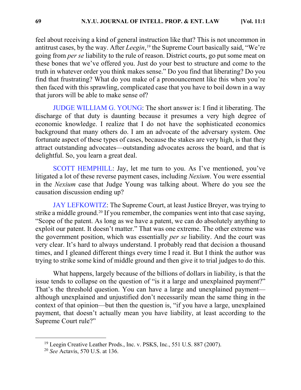feel about receiving a kind of general instruction like that? This is not uncommon in antitrust cases, by the way. After *Leegin*, [19](#page-12-0) the Supreme Court basically said, "We're going from *per se* liability to the rule of reason. District courts, go put some meat on these bones that we've offered you. Just do your best to structure and come to the truth in whatever order you think makes sense." Do you find that liberating? Do you find that frustrating? What do you make of a pronouncement like this when you're then faced with this sprawling, complicated case that you have to boil down in a way that jurors will be able to make sense of?

[JUDGE WILLIAM G. YOUNG:](https://youtu.be/XrD16RKx204?t=1957) The short answer is: I find it liberating. The discharge of that duty is daunting because it presumes a very high degree of economic knowledge. I realize that I do not have the sophisticated economics background that many others do. I am an advocate of the adversary system. One fortunate aspect of these types of cases, because the stakes are very high, is that they attract outstanding advocates—outstanding advocates across the board, and that is delightful. So, you learn a great deal.

[SCOTT HEMPHILL:](https://youtu.be/XrD16RKx204?t=2026) Jay, let me turn to you. As I've mentioned, you've litigated a lot of these reverse payment cases, including *Nexium*. You were essential in the *Nexium* case that Judge Young was talking about. Where do you see the causation discussion ending up?

[JAY LEFKOWITZ:](https://youtu.be/XrD16RKx204?t=2077) The Supreme Court, at least Justice Breyer, was trying to strike a middle ground.<sup>[20](#page-12-1)</sup> If you remember, the companies went into that case saying, "Scope of the patent. As long as we have a patent, we can do absolutely anything to exploit our patent. It doesn't matter." That was one extreme. The other extreme was the government position, which was essentially *per se* liability. And the court was very clear. It's hard to always understand. I probably read that decision a thousand times, and I gleaned different things every time I read it. But I think the author was trying to strike some kind of middle ground and then give it to trial judges to do this.

What happens, largely because of the billions of dollars in liability, is that the issue tends to collapse on the question of "is it a large and unexplained payment?" That's the threshold question. You can have a large and unexplained payment although unexplained and unjustified don't necessarily mean the same thing in the context of that opinion—but then the question is, "if you have a large, unexplained payment, that doesn't actually mean you have liability, at least according to the Supreme Court rule?"

<span id="page-12-0"></span><sup>&</sup>lt;sup>19</sup> Leegin Creative Leather Prods., Inc. v. PSKS, Inc., 551 U.S. 887 (2007).

<span id="page-12-1"></span><sup>20</sup> *See* Actavis, 570 U.S. at 136.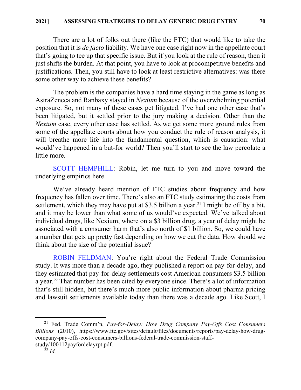There are a lot of folks out there (like the FTC) that would like to take the position that it is *de facto* liability. We have one case right now in the appellate court that's going to tee up that specific issue. But if you look at the rule of reason, then it just shifts the burden. At that point, you have to look at procompetitive benefits and justifications. Then, you still have to look at least restrictive alternatives: was there some other way to achieve these benefits?

The problem is the companies have a hard time staying in the game as long as AstraZeneca and Ranbaxy stayed in *Nexium* because of the overwhelming potential exposure. So, not many of these cases get litigated. I've had one other case that's been litigated, but it settled prior to the jury making a decision. Other than the *Nexium* case, every other case has settled. As we get some more ground rules from some of the appellate courts about how you conduct the rule of reason analysis, it will breathe more life into the fundamental question, which is causation: what would've happened in a but-for world? Then you'll start to see the law percolate a little more.

[SCOTT HEMPHILL:](https://youtu.be/XrD16RKx204?t=2256) Robin, let me turn to you and move toward the underlying empirics here.

We've already heard mention of FTC studies about frequency and how frequency has fallen over time. There's also an FTC study estimating the costs from settlement, which they may have put at \$3.5 billion a year.<sup>[21](#page-13-0)</sup> I might be off by a bit, and it may be lower than what some of us would've expected. We've talked about individual drugs, like Nexium, where on a \$3 billion drug, a year of delay might be associated with a consumer harm that's also north of \$1 billion. So, we could have a number that gets up pretty fast depending on how we cut the data. How should we think about the size of the potential issue?

[ROBIN FELDMAN:](https://youtu.be/XrD16RKx204?t=2311) You're right about the Federal Trade Commission study. It was more than a decade ago, they published a report on pay-for-delay, and they estimated that pay-for-delay settlements cost American consumers \$3.5 billion a year.[22](#page-13-1) That number has been cited by everyone since. There's a lot of information that's still hidden, but there's much more public information about pharma pricing and lawsuit settlements available today than there was a decade ago. Like Scott, I

<span id="page-13-1"></span><span id="page-13-0"></span> 21 Fed. Trade Comm'n, *Pay-for-Delay: How Drug Company Pay-Offs Cost Consumers Billions* (2010), [https://www.ftc.gov/sites/default/files/documents/reports/pay-delay-how-drug](https://www.ftc.gov/sites/default/files/documents/reports/pay-delay-how-drug-company-pay-offs-cost-consumers-billions-federal-trade-commission-staff-study/100112payfordelayrpt.pdf)[company-pay-offs-cost-consumers-billions-federal-trade-commission-staff](https://www.ftc.gov/sites/default/files/documents/reports/pay-delay-how-drug-company-pay-offs-cost-consumers-billions-federal-trade-commission-staff-study/100112payfordelayrpt.pdf)[study/100112payfordelayrpt.pdf.](https://www.ftc.gov/sites/default/files/documents/reports/pay-delay-how-drug-company-pay-offs-cost-consumers-billions-federal-trade-commission-staff-study/100112payfordelayrpt.pdf) 22 *Id.*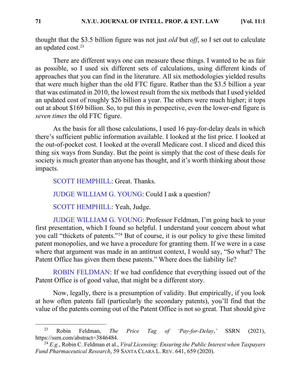thought that the \$3.5 billion figure was not just *old* but *off*, so I set out to calculate an updated cost.[23](#page-14-0)

There are different ways one can measure these things. I wanted to be as fair as possible, so I used six different sets of calculations, using different kinds of approaches that you can find in the literature. All six methodologies yielded results that were much higher than the old FTC figure. Rather than the \$3.5 billion a year that was estimated in 2010, the lowest result from the six methods that I used yielded an updated cost of roughly \$26 billion a year. The others were much higher; it tops out at about \$169 billion. So, to put this in perspective, even the lower-end figure is *seven times* the old FTC figure.

As the basis for all those calculations, I used 16 pay-for-delay deals in which there's sufficient public information available. I looked at the list price. I looked at the out-of-pocket cost. I looked at the overall Medicare cost. I sliced and diced this thing six ways from Sunday. But the point is simply that the cost of these deals for society is much greater than anyone has thought, and it's worth thinking about those impacts.

[SCOTT HEMPHILL:](https://youtu.be/XrD16RKx204?t=2426) Great. Thanks.

[JUDGE WILLIAM G. YOUNG:](https://youtu.be/XrD16RKx204?t=2428) Could I ask a question?

[SCOTT HEMPHILL:](https://youtu.be/XrD16RKx204?t=2430) Yeah, Judge.

[JUDGE WILLIAM G. YOUNG:](https://youtu.be/XrD16RKx204?t=2432) Professor Feldman, I'm going back to your first presentation, which I found so helpful. I understand your concern about what you call "thickets of patents."[24](#page-14-1) But of course, it is our policy to give these limited patent monopolies, and we have a procedure for granting them. If we were in a case where that argument was made in an antitrust context, I would say, "So what? The Patent Office has given them these patents." Where does the liability lie?

[ROBIN FELDMAN:](https://youtu.be/XrD16RKx204?t=2482) If we had confidence that everything issued out of the Patent Office is of good value, that might be a different story.

Now, legally, there is a presumption of validity. But empirically, if you look at how often patents fall (particularly the secondary patents), you'll find that the value of the patents coming out of the Patent Office is not so great. That should give

<span id="page-14-0"></span> <sup>23</sup> Robin Feldman, *The Price Tag of 'Pay-for-Delay*,*'* SSRN (2021), [https://ssrn.com/abstract=3846484.](https://ssrn.com/abstract=3846484) 24 *E.g.*, Robin C. Feldman et al., *Viral Licensing: Ensuring the Public Interest when Taxpayers* 

<span id="page-14-1"></span>*Fund Pharmaceutical Research*, 59 SANTA CLARA L. REV. 641, 659 (2020).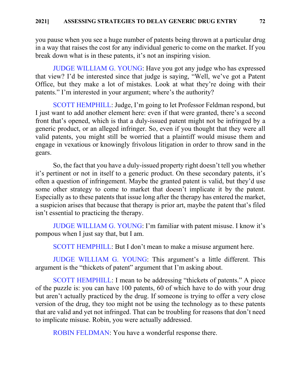you pause when you see a huge number of patents being thrown at a particular drug in a way that raises the cost for any individual generic to come on the market. If you break down what is in these patents, it's not an inspiring vision.

[JUDGE WILLIAM G. YOUNG:](https://youtu.be/XrD16RKx204?t=2537) Have you got any judge who has expressed that view? I'd be interested since that judge is saying, "Well, we've got a Patent Office, but they make a lot of mistakes. Look at what they're doing with their patents." I'm interested in your argument; where's the authority?

[SCOTT HEMPHILL:](https://youtu.be/XrD16RKx204?t=2570) Judge, I'm going to let Professor Feldman respond, but I just want to add another element here: even if that were granted, there's a second front that's opened, which is that a duly-issued patent might not be infringed by a generic product, or an alleged infringer. So, even if you thought that they were all valid patents, you might still be worried that a plaintiff would misuse them and engage in vexatious or knowingly frivolous litigation in order to throw sand in the gears.

So, the fact that you have a duly-issued property right doesn't tell you whether it's pertinent or not in itself to a generic product. On these secondary patents, it's often a question of infringement. Maybe the granted patent is valid, but they'd use some other strategy to come to market that doesn't implicate it by the patent. Especially as to these patents that issue long after the therapy has entered the market, a suspicion arises that because that therapy is prior art, maybe the patent that's filed isn't essential to practicing the therapy.

[JUDGE WILLIAM G. YOUNG:](https://youtu.be/XrD16RKx204?t=2646) I'm familiar with patent misuse. I know it's pompous when I just say that, but I am.

[SCOTT HEMPHILL:](https://youtu.be/XrD16RKx204?t=2652) But I don't mean to make a misuse argument here.

[JUDGE WILLIAM G. YOUNG:](https://youtu.be/XrD16RKx204?t=2654) This argument's a little different. This argument is the "thickets of patent" argument that I'm asking about.

[SCOTT HEMPHILL:](https://youtu.be/XrD16RKx204?t=2662) I mean to be addressing "thickets of patents." A piece of the puzzle is: you can have 100 patents, 60 of which have to do with your drug but aren't actually practiced by the drug. If someone is trying to offer a very close version of the drug, they too might not be using the technology as to these patents that are valid and yet not infringed. That can be troubling for reasons that don't need to implicate misuse. Robin, you were actually addressed.

[ROBIN FELDMAN:](https://youtu.be/XrD16RKx204?t=2697) You have a wonderful response there.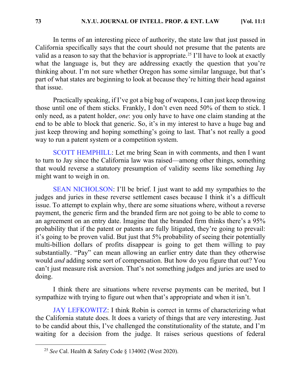In terms of an interesting piece of authority, the state law that just passed in California specifically says that the court should not presume that the patents are valid as a reason to say that the behavior is appropriate.<sup>[25](#page-16-0)</sup> I'll have to look at exactly what the language is, but they are addressing exactly the question that you're thinking about. I'm not sure whether Oregon has some similar language, but that's part of what states are beginning to look at because they're hitting their head against that issue.

Practically speaking, if I've got a big bag of weapons, I can just keep throwing those until one of them sticks. Frankly, I don't even need 50% of them to stick. I only need, as a patent holder, *one*: you only have to have one claim standing at the end to be able to block that generic. So, it's in my interest to have a huge bag and just keep throwing and hoping something's going to last. That's not really a good way to run a patent system or a competition system.

[SCOTT HEMPHILL:](https://youtu.be/XrD16RKx204?t=2793) Let me bring Sean in with comments, and then I want to turn to Jay since the California law was raised—among other things, something that would reverse a statutory presumption of validity seems like something Jay might want to weigh in on.

[SEAN NICHOLSON:](https://youtu.be/XrD16RKx204?t=2808) I'll be brief. I just want to add my sympathies to the judges and juries in these reverse settlement cases because I think it's a difficult issue. To attempt to explain why, there are some situations where, without a reverse payment, the generic firm and the branded firm are not going to be able to come to an agreement on an entry date. Imagine that the branded firm thinks there's a 95% probability that if the patent or patents are fully litigated, they're going to prevail: it's going to be proven valid. But just that 5% probability of seeing their potentially multi-billion dollars of profits disappear is going to get them willing to pay substantially. "Pay" can mean allowing an earlier entry date than they otherwise would *and* adding some sort of compensation. But how do you figure that out? You can't just measure risk aversion. That's not something judges and juries are used to doing.

I think there are situations where reverse payments can be merited, but I sympathize with trying to figure out when that's appropriate and when it isn't.

[JAY LEFKOWITZ:](https://youtu.be/XrD16RKx204?t=2882) I think Robin is correct in terms of characterizing what the California statute does. It does a variety of things that are very interesting. Just to be candid about this, I've challenged the constitutionality of the statute, and I'm waiting for a decision from the judge. It raises serious questions of federal

<span id="page-16-0"></span> <sup>25</sup> *See* Cal. Health & Safety Code § 134002 (West 2020).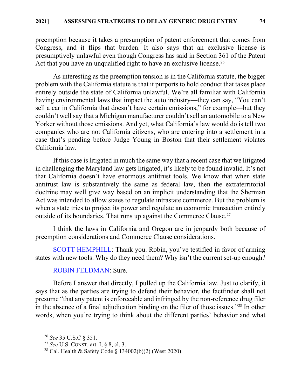preemption because it takes a presumption of patent enforcement that comes from Congress, and it flips that burden. It also says that an exclusive license is presumptively unlawful even though Congress has said in Section 361 of the Patent Act that you have an unqualified right to have an exclusive license.<sup>26</sup>

As interesting as the preemption tension is in the California statute, the bigger problem with the California statute is that it purports to hold conduct that takes place entirely outside the state of California unlawful. We're all familiar with California having environmental laws that impact the auto industry—they can say, "You can't sell a car in California that doesn't have certain emissions," for example—but they couldn't well say that a Michigan manufacturer couldn't sell an automobile to a New Yorker without those emissions. And yet, what California's law would do is tell two companies who are not California citizens, who are entering into a settlement in a case that's pending before Judge Young in Boston that their settlement violates California law.

If this case is litigated in much the same way that a recent case that we litigated in challenging the Maryland law gets litigated, it's likely to be found invalid. It's not that California doesn't have enormous antitrust tools. We know that when state antitrust law is substantively the same as federal law, then the extraterritorial doctrine may well give way based on an implicit understanding that the Sherman Act was intended to allow states to regulate intrastate commerce. But the problem is when a state tries to project its power and regulate an economic transaction entirely outside of its boundaries. That runs up against the Commerce Clause.<sup>[27](#page-17-1)</sup>

I think the laws in California and Oregon are in jeopardy both because of preemption considerations and Commerce Clause considerations.

[SCOTT HEMPHILL:](https://youtu.be/XrD16RKx204?t=3157) Thank you. Robin, you've testified in favor of arming states with new tools. Why do they need them? Why isn't the current set-up enough?

### [ROBIN FELDMAN:](https://youtu.be/XrD16RKx204?t=3174) Sure.

Before I answer that directly, I pulled up the California law. Just to clarify, it says that as the parties are trying to defend their behavior, the factfinder shall not presume "that any patent is enforceable and infringed by the non-reference drug filer in the absence of a final adjudication binding on the filer of those issues."[28](#page-17-2) In other words, when you're trying to think about the different parties' behavior and what

<span id="page-17-0"></span> <sup>26</sup> *See* 35 U.S.C § 351.

<span id="page-17-1"></span><sup>27</sup> *See* U.S. CONST. art. I, § 8, cl. 3.

<span id="page-17-2"></span><sup>28</sup> Cal. Health & Safety Code § 134002(b)(2) (West 2020).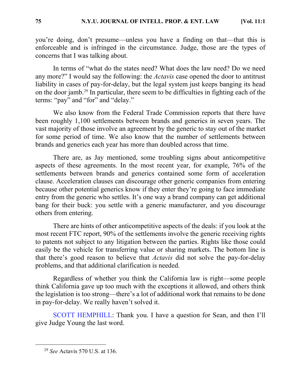you're doing, don't presume—unless you have a finding on that—that this is enforceable and is infringed in the circumstance. Judge, those are the types of concerns that I was talking about.

In terms of "what do the states need? What does the law need? Do we need any more?" I would say the following: the *Actavis* case opened the door to antitrust liability in cases of pay-for-delay, but the legal system just keeps banging its head on the door jamb.[29](#page-18-0) In particular, there seem to be difficulties in fighting each of the terms: "pay" and "for" and "delay."

We also know from the Federal Trade Commission reports that there have been roughly 1,100 settlements between brands and generics in seven years. The vast majority of those involve an agreement by the generic to stay out of the market for some period of time. We also know that the number of settlements between brands and generics each year has more than doubled across that time.

There are, as Jay mentioned, some troubling signs about anticompetitive aspects of these agreements. In the most recent year, for example, 76% of the settlements between brands and generics contained some form of acceleration clause. Acceleration clauses can discourage other generic companies from entering because other potential generics know if they enter they're going to face immediate entry from the generic who settles. It's one way a brand company can get additional bang for their buck: you settle with a generic manufacturer, and you discourage others from entering.

There are hints of other anticompetitive aspects of the deals: if you look at the most recent FTC report, 90% of the settlements involve the generic receiving rights to patents not subject to any litigation between the parties. Rights like those could easily be the vehicle for transferring value or sharing markets. The bottom line is that there's good reason to believe that *Actavis* did not solve the pay-for-delay problems, and that additional clarification is needed.

Regardless of whether you think the California law is right—some people think California gave up too much with the exceptions it allowed, and others think the legislation is too strong—there's a lot of additional work that remains to be done in pay-for-delay. We really haven't solved it.

[SCOTT HEMPHILL:](https://youtu.be/XrD16RKx204?t=3372) Thank you. I have a question for Sean, and then I'll give Judge Young the last word.

<span id="page-18-0"></span> <sup>29</sup> *See* Actavis 570 U.S. at 136.